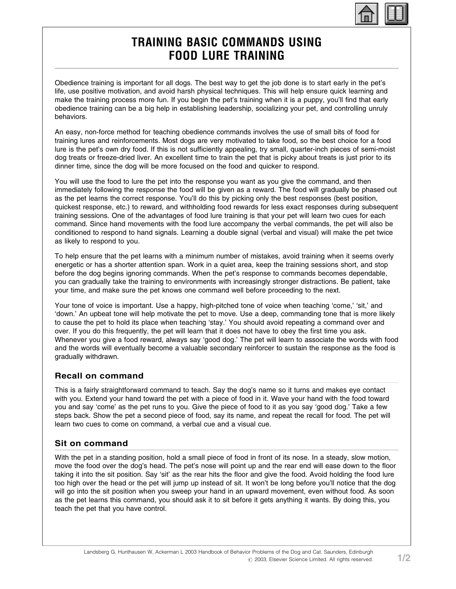

# TRAINING BASIC COMMANDS USING FOOD LURE TRAINING

Obedience training is important for all dogs. The best way to get the job done is to start early in the pet's life, use positive motivation, and avoid harsh physical techniques. This will help ensure quick learning and make the training process more fun. If you begin the pet's training when it is a puppy, you'll find that early obedience training can be a big help in establishing leadership, socializing your pet, and controlling unruly behaviors.

An easy, non-force method for teaching obedience commands involves the use of small bits of food for training lures and reinforcements. Most dogs are very motivated to take food, so the best choice for a food lure is the pet's own dry food. If this is not sufficiently appealing, try small, quarter-inch pieces of semi-moist dog treats or freeze-dried liver. An excellent time to train the pet that is picky about treats is just prior to its dinner time, since the dog will be more focused on the food and quicker to respond.

You will use the food to lure the pet into the response you want as you give the command, and then immediately following the response the food will be given as a reward. The food will gradually be phased out as the pet learns the correct response. You'll do this by picking only the best responses (best position, quickest response, etc.) to reward, and withholding food rewards for less exact responses during subsequent training sessions. One of the advantages of food lure training is that your pet will learn two cues for each command. Since hand movements with the food lure accompany the verbal commands, the pet will also be conditioned to respond to hand signals. Learning a double signal (verbal and visual) will make the pet twice as likely to respond to you.

To help ensure that the pet learns with a minimum number of mistakes, avoid training when it seems overly energetic or has a shorter attention span. Work in a quiet area, keep the training sessions short, and stop before the dog begins ignoring commands. When the pet's response to commands becomes dependable, you can gradually take the training to environments with increasingly stronger distractions. Be patient, take your time, and make sure the pet knows one command well before proceeding to the next.

Your tone of voice is important. Use a happy, high-pitched tone of voice when teaching 'come,' 'sit,' and 'down.' An upbeat tone will help motivate the pet to move. Use a deep, commanding tone that is more likely to cause the pet to hold its place when teaching 'stay.' You should avoid repeating a command over and over. If you do this frequently, the pet will learn that it does not have to obey the first time you ask. Whenever you give a food reward, always say 'good dog.' The pet will learn to associate the words with food and the words will eventually become a valuable secondary reinforcer to sustain the response as the food is gradually withdrawn.

## Recall on command

This is a fairly straightforward command to teach. Say the dog's name so it turns and makes eye contact with you. Extend your hand toward the pet with a piece of food in it. Wave your hand with the food toward you and say 'come' as the pet runs to you. Give the piece of food to it as you say 'good dog.' Take a few steps back. Show the pet a second piece of food, say its name, and repeat the recall for food. The pet will learn two cues to come on command, a verbal cue and a visual cue.

## Sit on command

With the pet in a standing position, hold a small piece of food in front of its nose. In a steady, slow motion, move the food over the dog's head. The pet's nose will point up and the rear end will ease down to the floor taking it into the sit position. Say 'sit' as the rear hits the floor and give the food. Avoid holding the food lure too high over the head or the pet will jump up instead of sit. It won't be long before you'll notice that the dog will go into the sit position when you sweep your hand in an upward movement, even without food. As soon as the pet learns this command, you should ask it to sit before it gets anything it wants. By doing this, you teach the pet that you have control.